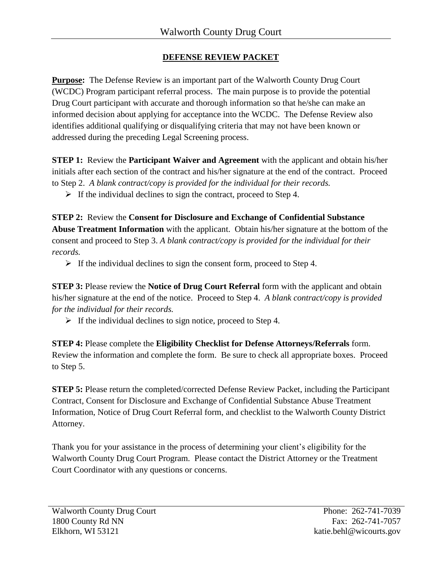# **DEFENSE REVIEW PACKET**

**Purpose:** The Defense Review is an important part of the Walworth County Drug Court (WCDC) Program participant referral process. The main purpose is to provide the potential Drug Court participant with accurate and thorough information so that he/she can make an informed decision about applying for acceptance into the WCDC. The Defense Review also identifies additional qualifying or disqualifying criteria that may not have been known or addressed during the preceding Legal Screening process.

**STEP 1:** Review the **Participant Waiver and Agreement** with the applicant and obtain his/her initials after each section of the contract and his/her signature at the end of the contract. Proceed to Step 2. *A blank contract/copy is provided for the individual for their records.*

 $\triangleright$  If the individual declines to sign the contract, proceed to Step 4.

**STEP 2:** Review the **Consent for Disclosure and Exchange of Confidential Substance Abuse Treatment Information** with the applicant. Obtain his/her signature at the bottom of the consent and proceed to Step 3. *A blank contract/copy is provided for the individual for their records.*

 $\triangleright$  If the individual declines to sign the consent form, proceed to Step 4.

**STEP 3:** Please review the **Notice of Drug Court Referral** form with the applicant and obtain his/her signature at the end of the notice. Proceed to Step 4. *A blank contract/copy is provided for the individual for their records.*

 $\triangleright$  If the individual declines to sign notice, proceed to Step 4.

**STEP 4:** Please complete the **Eligibility Checklist for Defense Attorneys/Referrals** form. Review the information and complete the form. Be sure to check all appropriate boxes. Proceed to Step 5.

**STEP 5:** Please return the completed/corrected Defense Review Packet, including the Participant Contract, Consent for Disclosure and Exchange of Confidential Substance Abuse Treatment Information, Notice of Drug Court Referral form, and checklist to the Walworth County District Attorney.

Thank you for your assistance in the process of determining your client's eligibility for the Walworth County Drug Court Program. Please contact the District Attorney or the Treatment Court Coordinator with any questions or concerns.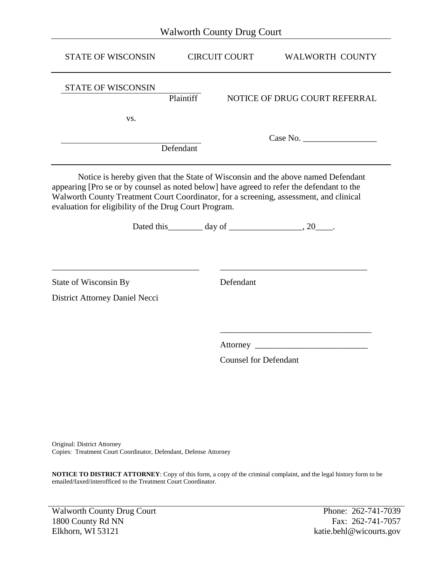| <b>STATE OF WISCONSIN</b>                                                                                                                                                                                                                                                                                                        | <b>CIRCUIT COURT</b>         | <b>WALWORTH COUNTY</b>        |  |  |  |  |  |
|----------------------------------------------------------------------------------------------------------------------------------------------------------------------------------------------------------------------------------------------------------------------------------------------------------------------------------|------------------------------|-------------------------------|--|--|--|--|--|
| <b>STATE OF WISCONSIN</b>                                                                                                                                                                                                                                                                                                        | Plaintiff                    | NOTICE OF DRUG COURT REFERRAL |  |  |  |  |  |
| VS.                                                                                                                                                                                                                                                                                                                              |                              |                               |  |  |  |  |  |
|                                                                                                                                                                                                                                                                                                                                  | Defendant                    |                               |  |  |  |  |  |
| Notice is hereby given that the State of Wisconsin and the above named Defendant<br>appearing [Pro se or by counsel as noted below] have agreed to refer the defendant to the<br>Walworth County Treatment Court Coordinator, for a screening, assessment, and clinical<br>evaluation for eligibility of the Drug Court Program. |                              |                               |  |  |  |  |  |
|                                                                                                                                                                                                                                                                                                                                  |                              |                               |  |  |  |  |  |
| State of Wisconsin By                                                                                                                                                                                                                                                                                                            | Defendant                    |                               |  |  |  |  |  |
| District Attorney Daniel Necci                                                                                                                                                                                                                                                                                                   |                              |                               |  |  |  |  |  |
|                                                                                                                                                                                                                                                                                                                                  |                              |                               |  |  |  |  |  |
|                                                                                                                                                                                                                                                                                                                                  |                              |                               |  |  |  |  |  |
|                                                                                                                                                                                                                                                                                                                                  | <b>Counsel for Defendant</b> |                               |  |  |  |  |  |

Original: District Attorney Copies: Treatment Court Coordinator, Defendant, Defense Attorney

**NOTICE TO DISTRICT ATTORNEY**: Copy of this form, a copy of the criminal complaint, and the legal history form to be emailed/faxed/interofficed to the Treatment Court Coordinator.

Walworth County Drug Court Phone: 262-741-7039 1800 County Rd NN Fax: 262-741-7057 Elkhorn, WI 53121 katie.behl@wicourts.gov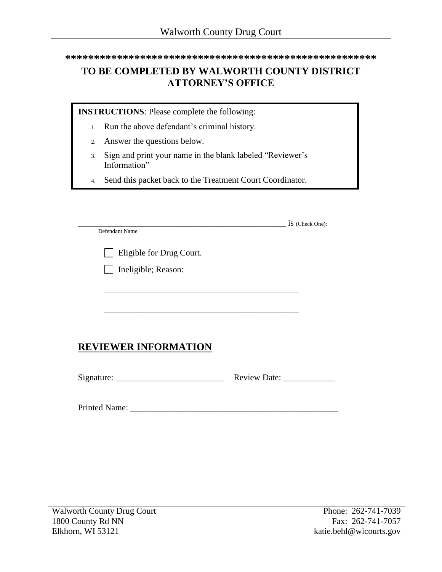**\*\*\*\*\*\*\*\*\*\*\*\*\*\*\*\*\*\*\*\*\*\*\*\*\*\*\*\*\*\*\*\*\*\*\*\*\*\*\*\*\*\*\*\*\*\*\*\*\*\*\*\*\*\***

# **TO BE COMPLETED BY WALWORTH COUNTY DISTRICT ATTORNEY'S OFFICE**

**INSTRUCTIONS**: Please complete the following:

- 1. Run the above defendant's criminal history.
- 2. Answer the questions below.
- 3. Sign and print your name in the blank labeled "Reviewer's Information"
- 4. Send this packet back to the Treatment Court Coordinator.

|                             | 1S (Check One):     |  |
|-----------------------------|---------------------|--|
| Defendant Name              |                     |  |
| Eligible for Drug Court.    |                     |  |
|                             |                     |  |
| Ineligible; Reason:         |                     |  |
|                             |                     |  |
|                             |                     |  |
|                             |                     |  |
|                             |                     |  |
|                             |                     |  |
|                             |                     |  |
| <b>REVIEWER INFORMATION</b> |                     |  |
|                             |                     |  |
|                             |                     |  |
|                             | <b>Review Date:</b> |  |
|                             |                     |  |

Printed Name: \_\_\_\_\_\_\_\_\_\_\_\_\_\_\_\_\_\_\_\_\_\_\_\_\_\_\_\_\_\_\_\_\_\_\_\_\_\_\_\_\_\_\_\_\_\_\_\_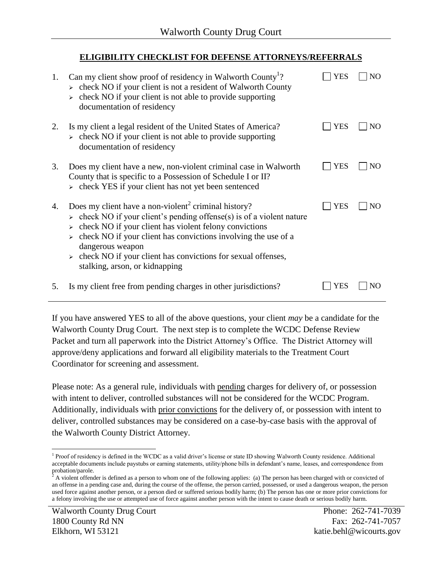# **ELIGIBILITY CHECKLIST FOR DEFENSE ATTORNEYS/REFERRALS**

| 1. | Can my client show proof of residency in Walworth County <sup>1</sup> ?<br>$\triangleright$ check NO if your client is not a resident of Walworth County<br>check NO if your client is not able to provide supporting<br>documentation of residency                                                                                                                                                                         | YES | NO  |
|----|-----------------------------------------------------------------------------------------------------------------------------------------------------------------------------------------------------------------------------------------------------------------------------------------------------------------------------------------------------------------------------------------------------------------------------|-----|-----|
| 2. | Is my client a legal resident of the United States of America?<br>$\triangleright$ check NO if your client is not able to provide supporting<br>documentation of residency                                                                                                                                                                                                                                                  | YES | NO. |
| 3. | Does my client have a new, non-violent criminal case in Walworth<br>County that is specific to a Possession of Schedule I or II?<br>$\triangleright$ check YES if your client has not yet been sentenced                                                                                                                                                                                                                    | YES | NO. |
| 4. | Does my client have a non-violent <sup>2</sup> criminal history?<br>$\triangleright$ check NO if your client's pending offense(s) is of a violent nature<br>check NO if your client has violent felony convictions<br>check NO if your client has convictions involving the use of a<br>dangerous weapon<br>$\triangleright$ check NO if your client has convictions for sexual offenses,<br>stalking, arson, or kidnapping | YES | NO. |
| 5. | Is my client free from pending charges in other jurisdictions?                                                                                                                                                                                                                                                                                                                                                              | YES |     |

If you have answered YES to all of the above questions, your client *may* be a candidate for the Walworth County Drug Court. The next step is to complete the WCDC Defense Review Packet and turn all paperwork into the District Attorney's Office. The District Attorney will approve/deny applications and forward all eligibility materials to the Treatment Court Coordinator for screening and assessment.

Please note: As a general rule, individuals with pending charges for delivery of, or possession with intent to deliver, controlled substances will not be considered for the WCDC Program. Additionally, individuals with prior convictions for the delivery of, or possession with intent to deliver, controlled substances may be considered on a case-by-case basis with the approval of the Walworth County District Attorney.

 $\overline{a}$ <sup>1</sup> Proof of residency is defined in the WCDC as a valid driver's license or state ID showing Walworth County residence. Additional acceptable documents include paystubs or earning statements, utility/phone bills in defendant's name, leases, and correspondence from probation/parole.

 $2^2$  A violent offender is defined as a person to whom one of the following applies: (a) The person has been charged with or convicted of an offense in a pending case and, during the course of the offense, the person carried, possessed, or used a dangerous weapon, the person used force against another person, or a person died or suffered serious bodily harm; (b) The person has one or more prior convictions for a felony involving the use or attempted use of force against another person with the intent to cause death or serious bodily harm.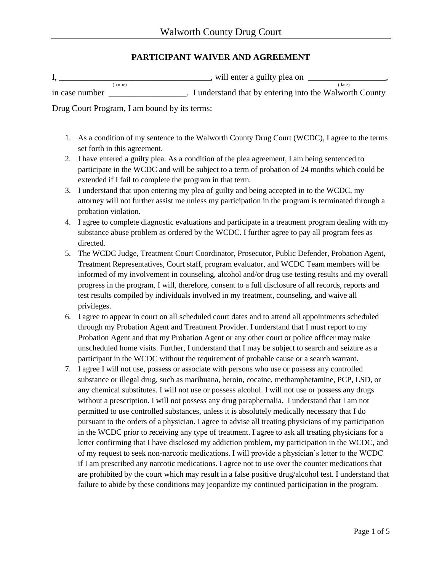## **PARTICIPANT WAIVER AND AGREEMENT**

|                                               | will enter a guilty plea on |        |
|-----------------------------------------------|-----------------------------|--------|
| (name)<br>the contract of the contract of the |                             | (date) |

in case number <br>I understand that by entering into the Walworth County

Drug Court Program, I am bound by its terms:

- 1. As a condition of my sentence to the Walworth County Drug Court (WCDC), I agree to the terms set forth in this agreement.
- 2. I have entered a guilty plea. As a condition of the plea agreement, I am being sentenced to participate in the WCDC and will be subject to a term of probation of 24 months which could be extended if I fail to complete the program in that term.
- 3. I understand that upon entering my plea of guilty and being accepted in to the WCDC, my attorney will not further assist me unless my participation in the program is terminated through a probation violation.
- 4. I agree to complete diagnostic evaluations and participate in a treatment program dealing with my substance abuse problem as ordered by the WCDC. I further agree to pay all program fees as directed.
- 5. The WCDC Judge, Treatment Court Coordinator, Prosecutor, Public Defender, Probation Agent, Treatment Representatives, Court staff, program evaluator, and WCDC Team members will be informed of my involvement in counseling, alcohol and/or drug use testing results and my overall progress in the program, I will, therefore, consent to a full disclosure of all records, reports and test results compiled by individuals involved in my treatment, counseling, and waive all privileges.
- 6. I agree to appear in court on all scheduled court dates and to attend all appointments scheduled through my Probation Agent and Treatment Provider. I understand that I must report to my Probation Agent and that my Probation Agent or any other court or police officer may make unscheduled home visits. Further, I understand that I may be subject to search and seizure as a participant in the WCDC without the requirement of probable cause or a search warrant.
- 7. I agree I will not use, possess or associate with persons who use or possess any controlled substance or illegal drug, such as marihuana, heroin, cocaine, methamphetamine, PCP, LSD, or any chemical substitutes. I will not use or possess alcohol. I will not use or possess any drugs without a prescription. I will not possess any drug paraphernalia. I understand that I am not permitted to use controlled substances, unless it is absolutely medically necessary that I do pursuant to the orders of a physician. I agree to advise all treating physicians of my participation in the WCDC prior to receiving any type of treatment. I agree to ask all treating physicians for a letter confirming that I have disclosed my addiction problem, my participation in the WCDC, and of my request to seek non-narcotic medications. I will provide a physician's letter to the WCDC if I am prescribed any narcotic medications. I agree not to use over the counter medications that are prohibited by the court which may result in a false positive drug/alcohol test. I understand that failure to abide by these conditions may jeopardize my continued participation in the program.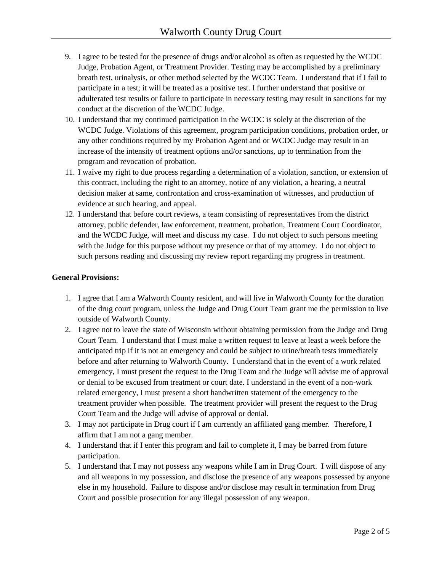- 9. I agree to be tested for the presence of drugs and/or alcohol as often as requested by the WCDC Judge, Probation Agent, or Treatment Provider. Testing may be accomplished by a preliminary breath test, urinalysis, or other method selected by the WCDC Team. I understand that if I fail to participate in a test; it will be treated as a positive test. I further understand that positive or adulterated test results or failure to participate in necessary testing may result in sanctions for my conduct at the discretion of the WCDC Judge.
- 10. I understand that my continued participation in the WCDC is solely at the discretion of the WCDC Judge. Violations of this agreement, program participation conditions, probation order, or any other conditions required by my Probation Agent and or WCDC Judge may result in an increase of the intensity of treatment options and/or sanctions, up to termination from the program and revocation of probation.
- 11. I waive my right to due process regarding a determination of a violation, sanction, or extension of this contract, including the right to an attorney, notice of any violation, a hearing, a neutral decision maker at same, confrontation and cross-examination of witnesses, and production of evidence at such hearing, and appeal.
- 12. I understand that before court reviews, a team consisting of representatives from the district attorney, public defender, law enforcement, treatment, probation, Treatment Court Coordinator, and the WCDC Judge, will meet and discuss my case. I do not object to such persons meeting with the Judge for this purpose without my presence or that of my attorney. I do not object to such persons reading and discussing my review report regarding my progress in treatment.

## **General Provisions:**

- 1. I agree that I am a Walworth County resident, and will live in Walworth County for the duration of the drug court program, unless the Judge and Drug Court Team grant me the permission to live outside of Walworth County.
- 2. I agree not to leave the state of Wisconsin without obtaining permission from the Judge and Drug Court Team. I understand that I must make a written request to leave at least a week before the anticipated trip if it is not an emergency and could be subject to urine/breath tests immediately before and after returning to Walworth County. I understand that in the event of a work related emergency, I must present the request to the Drug Team and the Judge will advise me of approval or denial to be excused from treatment or court date. I understand in the event of a non-work related emergency, I must present a short handwritten statement of the emergency to the treatment provider when possible. The treatment provider will present the request to the Drug Court Team and the Judge will advise of approval or denial.
- 3. I may not participate in Drug court if I am currently an affiliated gang member. Therefore, I affirm that I am not a gang member.
- 4. I understand that if I enter this program and fail to complete it, I may be barred from future participation.
- 5. I understand that I may not possess any weapons while I am in Drug Court. I will dispose of any and all weapons in my possession, and disclose the presence of any weapons possessed by anyone else in my household. Failure to dispose and/or disclose may result in termination from Drug Court and possible prosecution for any illegal possession of any weapon.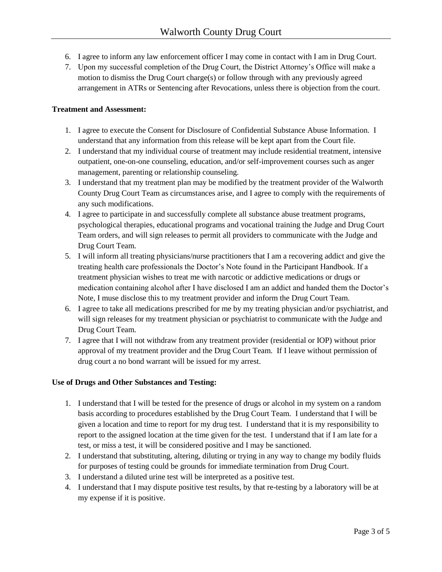- 6. I agree to inform any law enforcement officer I may come in contact with I am in Drug Court.
- 7. Upon my successful completion of the Drug Court, the District Attorney's Office will make a motion to dismiss the Drug Court charge(s) or follow through with any previously agreed arrangement in ATRs or Sentencing after Revocations, unless there is objection from the court.

## **Treatment and Assessment:**

- 1. I agree to execute the Consent for Disclosure of Confidential Substance Abuse Information. I understand that any information from this release will be kept apart from the Court file.
- 2. I understand that my individual course of treatment may include residential treatment, intensive outpatient, one-on-one counseling, education, and/or self-improvement courses such as anger management, parenting or relationship counseling.
- 3. I understand that my treatment plan may be modified by the treatment provider of the Walworth County Drug Court Team as circumstances arise, and I agree to comply with the requirements of any such modifications.
- 4. I agree to participate in and successfully complete all substance abuse treatment programs, psychological therapies, educational programs and vocational training the Judge and Drug Court Team orders, and will sign releases to permit all providers to communicate with the Judge and Drug Court Team.
- 5. I will inform all treating physicians/nurse practitioners that I am a recovering addict and give the treating health care professionals the Doctor's Note found in the Participant Handbook. If a treatment physician wishes to treat me with narcotic or addictive medications or drugs or medication containing alcohol after I have disclosed I am an addict and handed them the Doctor's Note, I muse disclose this to my treatment provider and inform the Drug Court Team.
- 6. I agree to take all medications prescribed for me by my treating physician and/or psychiatrist, and will sign releases for my treatment physician or psychiatrist to communicate with the Judge and Drug Court Team.
- 7. I agree that I will not withdraw from any treatment provider (residential or IOP) without prior approval of my treatment provider and the Drug Court Team. If I leave without permission of drug court a no bond warrant will be issued for my arrest.

## **Use of Drugs and Other Substances and Testing:**

- 1. I understand that I will be tested for the presence of drugs or alcohol in my system on a random basis according to procedures established by the Drug Court Team. I understand that I will be given a location and time to report for my drug test. I understand that it is my responsibility to report to the assigned location at the time given for the test. I understand that if I am late for a test, or miss a test, it will be considered positive and I may be sanctioned.
- 2. I understand that substituting, altering, diluting or trying in any way to change my bodily fluids for purposes of testing could be grounds for immediate termination from Drug Court.
- 3. I understand a diluted urine test will be interpreted as a positive test.
- 4. I understand that I may dispute positive test results, by that re-testing by a laboratory will be at my expense if it is positive.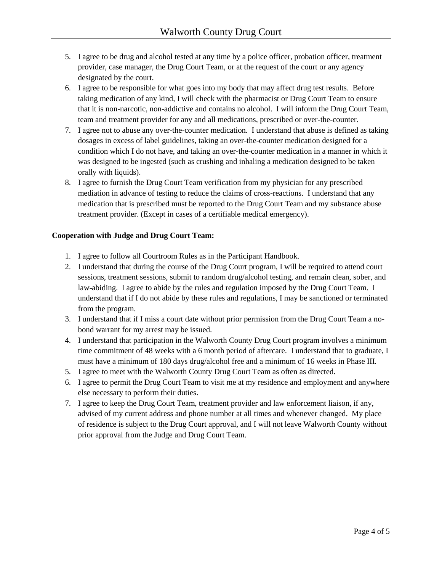- 5. I agree to be drug and alcohol tested at any time by a police officer, probation officer, treatment provider, case manager, the Drug Court Team, or at the request of the court or any agency designated by the court.
- 6. I agree to be responsible for what goes into my body that may affect drug test results. Before taking medication of any kind, I will check with the pharmacist or Drug Court Team to ensure that it is non-narcotic, non-addictive and contains no alcohol. I will inform the Drug Court Team, team and treatment provider for any and all medications, prescribed or over-the-counter.
- 7. I agree not to abuse any over-the-counter medication. I understand that abuse is defined as taking dosages in excess of label guidelines, taking an over-the-counter medication designed for a condition which I do not have, and taking an over-the-counter medication in a manner in which it was designed to be ingested (such as crushing and inhaling a medication designed to be taken orally with liquids).
- 8. I agree to furnish the Drug Court Team verification from my physician for any prescribed mediation in advance of testing to reduce the claims of cross-reactions. I understand that any medication that is prescribed must be reported to the Drug Court Team and my substance abuse treatment provider. (Except in cases of a certifiable medical emergency).

## **Cooperation with Judge and Drug Court Team:**

- 1. I agree to follow all Courtroom Rules as in the Participant Handbook.
- 2. I understand that during the course of the Drug Court program, I will be required to attend court sessions, treatment sessions, submit to random drug/alcohol testing, and remain clean, sober, and law-abiding. I agree to abide by the rules and regulation imposed by the Drug Court Team. I understand that if I do not abide by these rules and regulations, I may be sanctioned or terminated from the program.
- 3. I understand that if I miss a court date without prior permission from the Drug Court Team a nobond warrant for my arrest may be issued.
- 4. I understand that participation in the Walworth County Drug Court program involves a minimum time commitment of 48 weeks with a 6 month period of aftercare. I understand that to graduate, I must have a minimum of 180 days drug/alcohol free and a minimum of 16 weeks in Phase III.
- 5. I agree to meet with the Walworth County Drug Court Team as often as directed.
- 6. I agree to permit the Drug Court Team to visit me at my residence and employment and anywhere else necessary to perform their duties.
- 7. I agree to keep the Drug Court Team, treatment provider and law enforcement liaison, if any, advised of my current address and phone number at all times and whenever changed. My place of residence is subject to the Drug Court approval, and I will not leave Walworth County without prior approval from the Judge and Drug Court Team.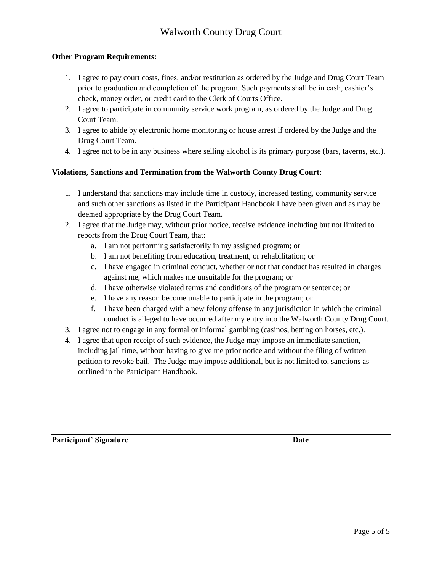## **Other Program Requirements:**

- 1. I agree to pay court costs, fines, and/or restitution as ordered by the Judge and Drug Court Team prior to graduation and completion of the program. Such payments shall be in cash, cashier's check, money order, or credit card to the Clerk of Courts Office.
- 2. I agree to participate in community service work program, as ordered by the Judge and Drug Court Team.
- 3. I agree to abide by electronic home monitoring or house arrest if ordered by the Judge and the Drug Court Team.
- 4. I agree not to be in any business where selling alcohol is its primary purpose (bars, taverns, etc.).

## **Violations, Sanctions and Termination from the Walworth County Drug Court:**

- 1. I understand that sanctions may include time in custody, increased testing, community service and such other sanctions as listed in the Participant Handbook I have been given and as may be deemed appropriate by the Drug Court Team.
- 2. I agree that the Judge may, without prior notice, receive evidence including but not limited to reports from the Drug Court Team, that:
	- a. I am not performing satisfactorily in my assigned program; or
	- b. I am not benefiting from education, treatment, or rehabilitation; or
	- c. I have engaged in criminal conduct, whether or not that conduct has resulted in charges against me, which makes me unsuitable for the program; or
	- d. I have otherwise violated terms and conditions of the program or sentence; or
	- e. I have any reason become unable to participate in the program; or
	- f. I have been charged with a new felony offense in any jurisdiction in which the criminal conduct is alleged to have occurred after my entry into the Walworth County Drug Court.
- 3. I agree not to engage in any formal or informal gambling (casinos, betting on horses, etc.).
- 4. I agree that upon receipt of such evidence, the Judge may impose an immediate sanction, including jail time, without having to give me prior notice and without the filing of written petition to revoke bail. The Judge may impose additional, but is not limited to, sanctions as outlined in the Participant Handbook.

Participant' Signature Date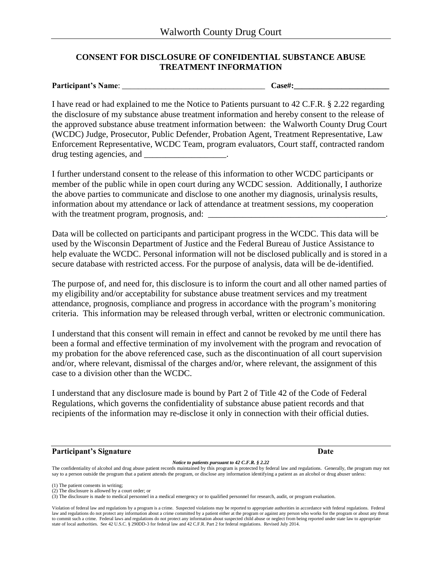## **CONSENT FOR DISCLOSURE OF CONFIDENTIAL SUBSTANCE ABUSE TREATMENT INFORMATION**

**Participant's Name:**  $\qquad \qquad \text{Case}\n$ 

I have read or had explained to me the Notice to Patients pursuant to 42 C.F.R. § 2.22 regarding the disclosure of my substance abuse treatment information and hereby consent to the release of the approved substance abuse treatment information between: the Walworth County Drug Court (WCDC) Judge, Prosecutor, Public Defender, Probation Agent, Treatment Representative, Law Enforcement Representative, WCDC Team, program evaluators, Court staff, contracted random drug testing agencies, and  $\blacksquare$ 

I further understand consent to the release of this information to other WCDC participants or member of the public while in open court during any WCDC session. Additionally, I authorize the above parties to communicate and disclose to one another my diagnosis, urinalysis results, information about my attendance or lack of attendance at treatment sessions, my cooperation with the treatment program, prognosis, and:

Data will be collected on participants and participant progress in the WCDC. This data will be used by the Wisconsin Department of Justice and the Federal Bureau of Justice Assistance to help evaluate the WCDC. Personal information will not be disclosed publically and is stored in a secure database with restricted access. For the purpose of analysis, data will be de-identified.

The purpose of, and need for, this disclosure is to inform the court and all other named parties of my eligibility and/or acceptability for substance abuse treatment services and my treatment attendance, prognosis, compliance and progress in accordance with the program's monitoring criteria. This information may be released through verbal, written or electronic communication.

I understand that this consent will remain in effect and cannot be revoked by me until there has been a formal and effective termination of my involvement with the program and revocation of my probation for the above referenced case, such as the discontinuation of all court supervision and/or, where relevant, dismissal of the charges and/or, where relevant, the assignment of this case to a division other than the WCDC.

I understand that any disclosure made is bound by Part 2 of Title 42 of the Code of Federal Regulations, which governs the confidentiality of substance abuse patient records and that recipients of the information may re-disclose it only in connection with their official duties.

## **Participant's Signature Date** Date Date Date Date Date Date

#### *Notice to patients pursuant to 42 C.F.R. § 2.22*

The confidentiality of alcohol and drug abuse patient records maintained by this program is protected by federal law and regulations. Generally, the program may not say to a person outside the program that a patient attends the program, or disclose any information identifying a patient as an alcohol or drug abuser unless:

(1) The patient consents in writing;

(2) The disclosure is allowed by a court order; or

(3) The disclosure is made to medical personnel in a medical emergency or to qualified personnel for research, audit, or program evaluation.

Violation of federal law and regulations by a program is a crime. Suspected violations may be reported to appropriate authorities in accordance with federal regulations. Federal law and regulations do not protect any information about a crime committed by a patient either at the program or against any person who works for the program or about any threat to commit such a crime. Federal laws and regulations do not protect any information about suspected child abuse or neglect from being reported under state law to appropriate state of local authorities. See 42 U.S.C. § 290DD-3 for federal law and 42 C.F.R. Part 2 for federal regulations. Revised July 2014.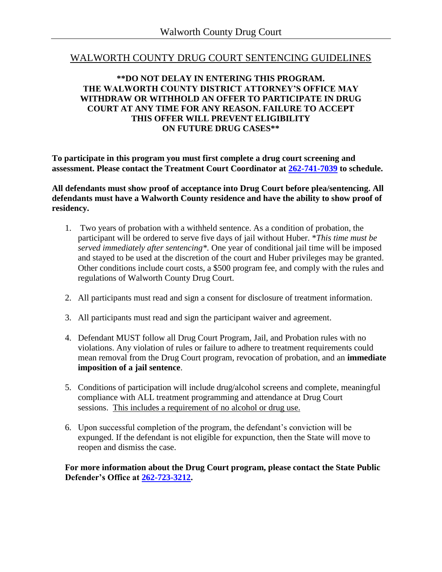## WALWORTH COUNTY DRUG COURT SENTENCING GUIDELINES

## **\*\*DO NOT DELAY IN ENTERING THIS PROGRAM. THE WALWORTH COUNTY DISTRICT ATTORNEY'S OFFICE MAY WITHDRAW OR WITHHOLD AN OFFER TO PARTICIPATE IN DRUG COURT AT ANY TIME FOR ANY REASON. FAILURE TO ACCEPT THIS OFFER WILL PREVENT ELIGIBILITY ON FUTURE DRUG CASES\*\***

**To participate in this program you must first complete a drug court screening and assessment. Please contact the Treatment Court Coordinator at [262-741-7039](tel:2627417039) to schedule.** 

**All defendants must show proof of acceptance into Drug Court before plea/sentencing. All defendants must have a Walworth County residence and have the ability to show proof of residency.**

- 1. Two years of probation with a withheld sentence. As a condition of probation, the participant will be ordered to serve five days of jail without Huber. \**This time must be served immediately after sentencing\*.* One year of conditional jail time will be imposed and stayed to be used at the discretion of the court and Huber privileges may be granted. Other conditions include court costs, a \$500 program fee, and comply with the rules and regulations of Walworth County Drug Court.
- 2. All participants must read and sign a consent for disclosure of treatment information.
- 3. All participants must read and sign the participant waiver and agreement.
- 4. Defendant MUST follow all Drug Court Program, Jail, and Probation rules with no violations. Any violation of rules or failure to adhere to treatment requirements could mean removal from the Drug Court program, revocation of probation, and an **immediate imposition of a jail sentence**.
- 5. Conditions of participation will include drug/alcohol screens and complete, meaningful compliance with ALL treatment programming and attendance at Drug Court sessions. This includes a requirement of no alcohol or drug use.
- 6. Upon successful completion of the program, the defendant's conviction will be expunged. If the defendant is not eligible for expunction, then the State will move to reopen and dismiss the case.

**For more information about the Drug Court program, please contact the State Public Defender's Office at [262-723-3212.](tel:2627233212)**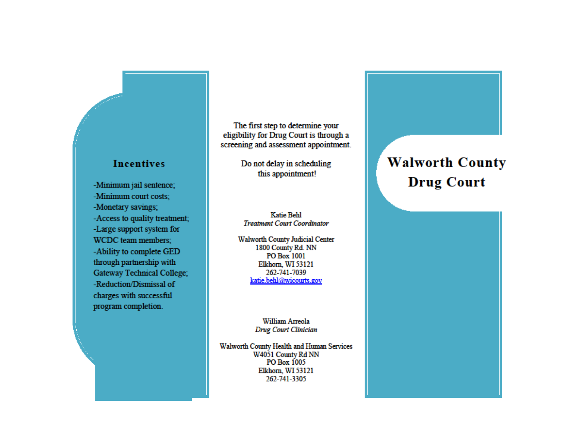# **Incentives**

-Minimum jail sentence; -Minimum court costs: -Monetary savings; -Access to quality treatment; -Large support system for WCDC team members; -Ability to complete GED through partnership with Gateway Technical College; -Reduction/Dismissal of charges with successful program completion.

The first step to determine your eligibility for Drug Court is through a screening and assessment appointment.

> Do not delay in scheduling this appointment!

### **Katie Behl Treatment Court Coordinator**

**Walworth County Judicial Center** 1800 County Rd. NN PO Box 1001 Elkhorn, WI 53121 262-741-7039 katie.behl@wicourts.gov

> William Arreola Drug Court Clinician

Walworth County Health and Human Services W4051 County Rd NN PO Box 1005 Elkhorn. WI 53121 262-741-3305

# **Walworth County Drug Court**